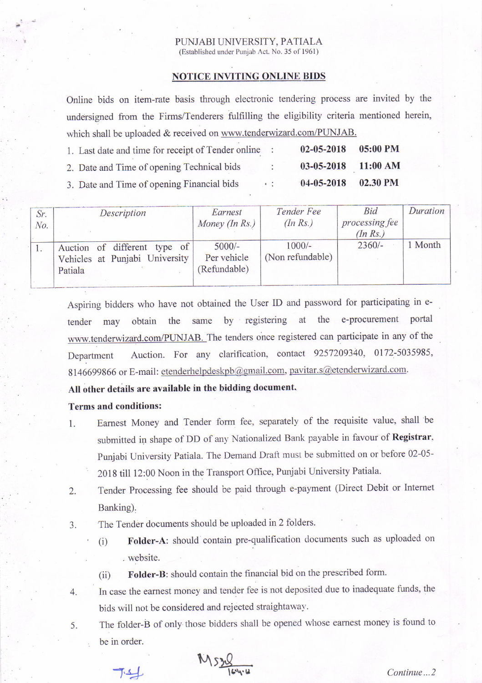#### PUNJABI UNIVERSITY, PATIALA (Established under Punjab Act. No. 35 of 1961)

## NOTICE INVITING ONLINE BIDS

Online bids on item-rate basis through electronic tendering process are invited by the undersigned from the Firms/Tenderers fulfilling the eligibility criteria mentioned herein, which shall be uploaded & received on www.tenderwizard.com/PUNJAB.

| 1. Last date and time for receipt of Tender online |            | $02 - 05 - 2018$      | $05:00$ PM |
|----------------------------------------------------|------------|-----------------------|------------|
| 2. Date and Time of opening Technical bids         | $\ddot{ }$ | $03-05-2018$ 11:00 AM |            |
| 3. Date and Time of opening Financial bids         | 4.11       | $04 - 05 - 2018$      | 02.30 PM   |

| Sr.<br>No. | Description                                                               | Earnest<br>Money (In Rs.)               | Tender Fee<br>(In Rs.)       | Bid<br>processing fee<br>(In Rs.) | Duration |
|------------|---------------------------------------------------------------------------|-----------------------------------------|------------------------------|-----------------------------------|----------|
|            | Auction of different type of<br>Vehicles at Punjabi University<br>Patiala | $5000/-$<br>Per vehicle<br>(Refundable) | $1000/-$<br>(Non refundable) | $2360/-$                          | Month    |

Aspiring bidders who have not obtained the User ID and password for participating in etender may obtain the same by registering at the e-procurement portal www.tenderwizard.com/PUNJAB. The tenders once registered can participate in any of the Department Auction. For any clarification, contact 9257209340, 0172-5035985, 8146699866 or E-mail: etenderhelpdeskpb@gmail.com, pavitar.s@etenderwizard.com.

### All other details are available in the bidding document.

## Terms and conditions:

- 1. Eamest Money and Tender form fee, separately of the requisite value, shall be submitted in shape of DD of any Nationalized Bank payable in favour of Registrar, Punjabi University Patiala. The Demand Draft must be submitted on or before 02-05-' 2018 till 12;00 Noon in the Transport Office, Punjabi University Patiala'
- 2. Tender Processing fee should be paid through e-payment (Direct Debit or Intemet Banking).
- 3. The Tender documents should be uploaded in 2 folders'
	- (i) Folder-A: should contain pre-qualification documents such as uploaded on website.

(ii) Folder-B: should contain the financial bid on the prescribed form.

- 4. In case the earnest money and tender fee is not deposited due to inadequate funds, the bids will not be considered and rejected straightaway.
- 5. The folder-B of only those bidders shall be opened whose earnest money is found to be in order.

 $M:2$  Continue...2